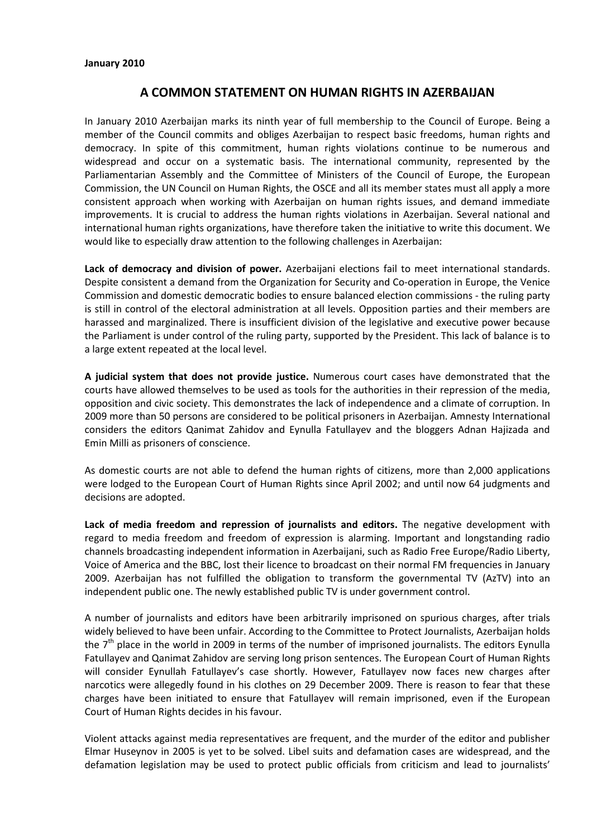## **A COMMON STATEMENT ON HUMAN RIGHTS IN AZERBAIJAN**

In January 2010 Azerbaijan marks its ninth year of full membership to the Council of Europe. Being a member of the Council commits and obliges Azerbaijan to respect basic freedoms, human rights and democracy. In spite of this commitment, human rights violations continue to be numerous and widespread and occur on a systematic basis. The international community, represented by the Parliamentarian Assembly and the Committee of Ministers of the Council of Europe, the European Commission, the UN Council on Human Rights, the OSCE and all its member states must all apply a more consistent approach when working with Azerbaijan on human rights issues, and demand immediate improvements. It is crucial to address the human rights violations in Azerbaijan. Several national and international human rights organizations, have therefore taken the initiative to write this document. We would like to especially draw attention to the following challenges in Azerbaijan:

**Lack of democracy and division of power.** Azerbaijani elections fail to meet international standards. Despite consistent a demand from the Organization for Security and Co-operation in Europe, the Venice Commission and domestic democratic bodies to ensure balanced election commissions - the ruling party is still in control of the electoral administration at all levels. Opposition parties and their members are harassed and marginalized. There is insufficient division of the legislative and executive power because the Parliament is under control of the ruling party, supported by the President. This lack of balance is to a large extent repeated at the local level.

**A judicial system that does not provide justice.** Numerous court cases have demonstrated that the courts have allowed themselves to be used as tools for the authorities in their repression of the media, opposition and civic society. This demonstrates the lack of independence and a climate of corruption. In 2009 more than 50 persons are considered to be political prisoners in Azerbaijan. Amnesty International considers the editors Qanimat Zahidov and Eynulla Fatullayev and the bloggers Adnan Hajizada and Emin Milli as prisoners of conscience.

As domestic courts are not able to defend the human rights of citizens, more than 2,000 applications were lodged to the European Court of Human Rights since April 2002; and until now 64 judgments and decisions are adopted.

**Lack of media freedom and repression of journalists and editors.** The negative development with regard to media freedom and freedom of expression is alarming. Important and longstanding radio channels broadcasting independent information in Azerbaijani, such as Radio Free Europe/Radio Liberty, Voice of America and the BBC, lost their licence to broadcast on their normal FM frequencies in January 2009. Azerbaijan has not fulfilled the obligation to transform the governmental TV (AzTV) into an independent public one. The newly established public TV is under government control.

A number of journalists and editors have been arbitrarily imprisoned on spurious charges, after trials widely believed to have been unfair. According to the Committee to Protect Journalists, Azerbaijan holds the  $7<sup>th</sup>$  place in the world in 2009 in terms of the number of imprisoned journalists. The editors Eynulla Fatullayev and Qanimat Zahidov are serving long prison sentences. The European Court of Human Rights will consider Eynullah Fatullayev's case shortly. However, Fatullayev now faces new charges after narcotics were allegedly found in his clothes on 29 December 2009. There is reason to fear that these charges have been initiated to ensure that Fatullayev will remain imprisoned, even if the European Court of Human Rights decides in his favour.

Violent attacks against media representatives are frequent, and the murder of the editor and publisher Elmar Huseynov in 2005 is yet to be solved. Libel suits and defamation cases are widespread, and the defamation legislation may be used to protect public officials from criticism and lead to journalists'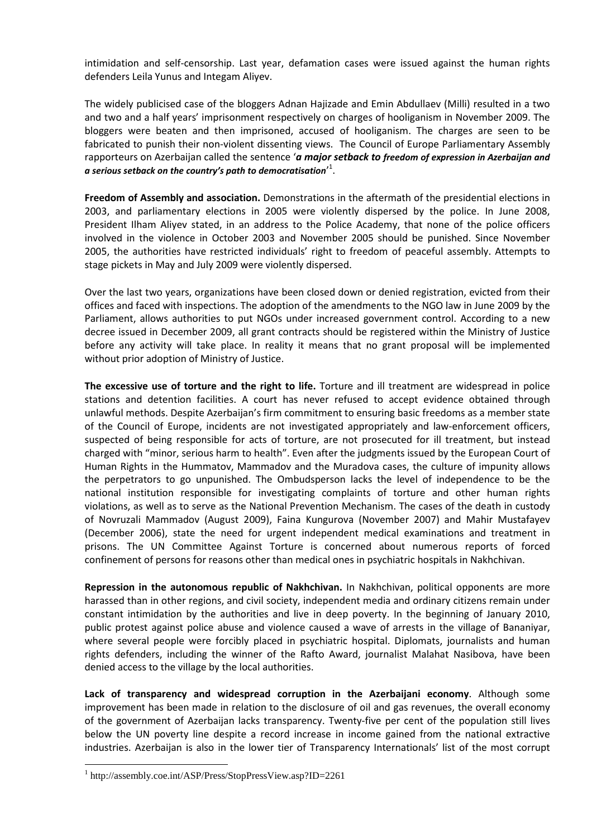intimidation and self-censorship. Last year, defamation cases were issued against the human rights defenders Leila Yunus and Integam Aliyev.

The widely publicised case of the bloggers Adnan Hajizade and Emin Abdullaev (Milli) resulted in a two and two and a half years' imprisonment respectively on charges of hooliganism in November 2009. The bloggers were beaten and then imprisoned, accused of hooliganism. The charges are seen to be fabricated to punish their non-violent dissenting views. The Council of Europe Parliamentary Assembly rapporteurs on Azerbaijan called the sentence '*a major setback to freedom of expression in Azerbaijan and*  a serious setback on the country's path to democratisation<sup>, 1</sup>.

**Freedom of Assembly and association.** Demonstrations in the aftermath of the presidential elections in 2003, and parliamentary elections in 2005 were violently dispersed by the police. In June 2008, President Ilham Aliyev stated, in an address to the Police Academy, that none of the police officers involved in the violence in October 2003 and November 2005 should be punished. Since November 2005, the authorities have restricted individuals' right to freedom of peaceful assembly. Attempts to stage pickets in May and July 2009 were violently dispersed.

Over the last two years, organizations have been closed down or denied registration, evicted from their offices and faced with inspections. The adoption of the amendments to the NGO law in June 2009 by the Parliament, allows authorities to put NGOs under increased government control. According to a new decree issued in December 2009, all grant contracts should be registered within the Ministry of Justice before any activity will take place. In reality it means that no grant proposal will be implemented without prior adoption of Ministry of Justice.

**The excessive use of torture and the right to life.** Torture and ill treatment are widespread in police stations and detention facilities. A court has never refused to accept evidence obtained through unlawful methods. Despite Azerbaijan's firm commitment to ensuring basic freedoms as a member state of the Council of Europe, incidents are not investigated appropriately and law-enforcement officers, suspected of being responsible for acts of torture, are not prosecuted for ill treatment, but instead charged with "minor, serious harm to health". Even after the judgments issued by the European Court of Human Rights in the Hummatov, Mammadov and the Muradova cases, the culture of impunity allows the perpetrators to go unpunished. The Ombudsperson lacks the level of independence to be the national institution responsible for investigating complaints of torture and other human rights violations, as well as to serve as the National Prevention Mechanism. The cases of the death in custody of Novruzali Mammadov (August 2009), Faina Kungurova (November 2007) and Mahir Mustafayev (December 2006), state the need for urgent independent medical examinations and treatment in prisons. The UN Committee Against Torture is concerned about numerous reports of forced confinement of persons for reasons other than medical ones in psychiatric hospitals in Nakhchivan.

**Repression in the autonomous republic of Nakhchivan.** In Nakhchivan, political opponents are more harassed than in other regions, and civil society, independent media and ordinary citizens remain under constant intimidation by the authorities and live in deep poverty. In the beginning of January 2010, public protest against police abuse and violence caused a wave of arrests in the village of Bananiyar, where several people were forcibly placed in psychiatric hospital. Diplomats, journalists and human rights defenders, including the winner of the Rafto Award, journalist Malahat Nasibova, have been denied access to the village by the local authorities.

**Lack of transparency and widespread corruption in the Azerbaijani economy**. Although some improvement has been made in relation to the disclosure of oil and gas revenues, the overall economy of the government of Azerbaijan lacks transparency. Twenty-five per cent of the population still lives below the UN poverty line despite a record increase in income gained from the national extractive industries. Azerbaijan is also in the lower tier of Transparency Internationals' list of the most corrupt

 $\overline{a}$ 

<sup>1</sup> http://assembly.coe.int/ASP/Press/StopPressView.asp?ID=2261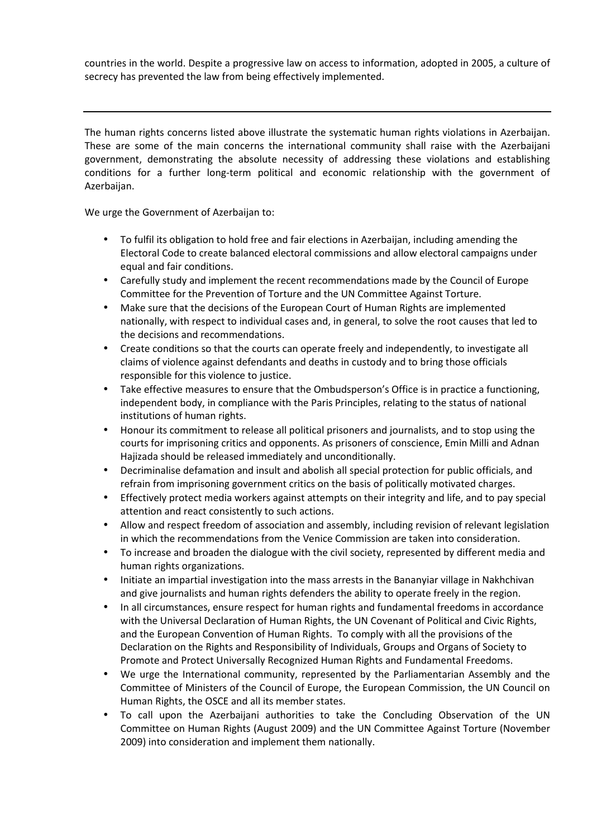countries in the world. Despite a progressive law on access to information, adopted in 2005, a culture of secrecy has prevented the law from being effectively implemented.

The human rights concerns listed above illustrate the systematic human rights violations in Azerbaijan. These are some of the main concerns the international community shall raise with the Azerbaijani government, demonstrating the absolute necessity of addressing these violations and establishing conditions for a further long-term political and economic relationship with the government of Azerbaijan.

We urge the Government of Azerbaijan to:

- To fulfil its obligation to hold free and fair elections in Azerbaijan, including amending the Electoral Code to create balanced electoral commissions and allow electoral campaigns under equal and fair conditions.
- Carefully study and implement the recent recommendations made by the Council of Europe Committee for the Prevention of Torture and the UN Committee Against Torture.
- Make sure that the decisions of the European Court of Human Rights are implemented nationally, with respect to individual cases and, in general, to solve the root causes that led to the decisions and recommendations.
- Create conditions so that the courts can operate freely and independently, to investigate all claims of violence against defendants and deaths in custody and to bring those officials responsible for this violence to justice.
- Take effective measures to ensure that the Ombudsperson's Office is in practice a functioning, independent body, in compliance with the Paris Principles, relating to the status of national institutions of human rights.
- Honour its commitment to release all political prisoners and journalists, and to stop using the courts for imprisoning critics and opponents. As prisoners of conscience, Emin Milli and Adnan Hajizada should be released immediately and unconditionally.
- Decriminalise defamation and insult and abolish all special protection for public officials, and refrain from imprisoning government critics on the basis of politically motivated charges.
- Effectively protect media workers against attempts on their integrity and life, and to pay special attention and react consistently to such actions.
- Allow and respect freedom of association and assembly, including revision of relevant legislation in which the recommendations from the Venice Commission are taken into consideration.
- To increase and broaden the dialogue with the civil society, represented by different media and human rights organizations.
- Initiate an impartial investigation into the mass arrests in the Bananyiar village in Nakhchivan and give journalists and human rights defenders the ability to operate freely in the region.
- In all circumstances, ensure respect for human rights and fundamental freedoms in accordance with the Universal Declaration of Human Rights, the UN Covenant of Political and Civic Rights, and the European Convention of Human Rights. To comply with all the provisions of the Declaration on the Rights and Responsibility of Individuals, Groups and Organs of Society to Promote and Protect Universally Recognized Human Rights and Fundamental Freedoms.
- We urge the International community, represented by the Parliamentarian Assembly and the Committee of Ministers of the Council of Europe, the European Commission, the UN Council on Human Rights, the OSCE and all its member states.
- To call upon the Azerbaijani authorities to take the Concluding Observation of the UN Committee on Human Rights (August 2009) and the UN Committee Against Torture (November 2009) into consideration and implement them nationally.